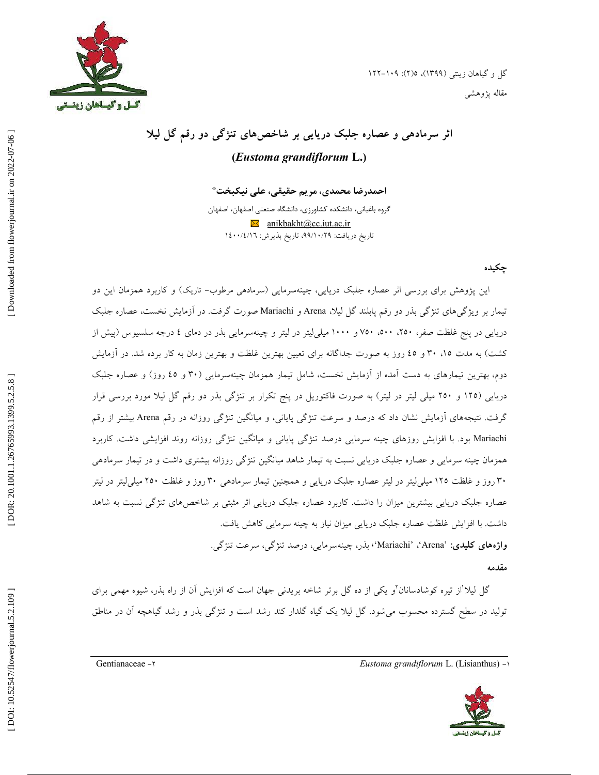

 $\overline{\phantom{a}}$ 



# ثر سرمادهی و عصاره جلبک دریایی بر شاخصهای تنژگی دو رقم گل لیلا **(***Eustoma grandiflorum* **L. )**

احمدرضا محمدی، مریم حقیقی، علی نیکبخت\*

گروه باغبانی، دانشکده کشاورزی، دانشگاه صنعتی اصفهان، اصفهان  $\boxtimes$  anikbakht@cc.iut.ac.ir تاريخ دريافت: ٩٩/١٠/٢٩، تاريخ پذيرش: ١٤٠٠/٤/١٦

## چکیده

این پژوهش برای بررسی اثر عصاره جلبک دریایی، چینهسرمایی (سرمادهی مرطوب– تاریک) و کاربرد همزمان این دو تیمار بر ویژگیهای تنژگی بذر دو رقم پابلند گل لیلا، Arena و Mariachi صورت گرفت. در ازمایش نخست، عصاره جلبک دریایی در پنج غلظت صفر، ۲۵۰، ۲۰۰، ۷۵۰ و ۱۰۰۰ میلی لیتر در لیتر و چینهسرمایی بذر در دمای ٤ درجه سلسیوس (پیش از کشت) به مدت ۱۵. ۳۰ و ٤٥ روز به صورت جداگانه برای تعیین بهترین غلظت و بهترین زمان به کار برده شد. در آزمایش دوم، بهترین تیمارهای به دست امده از ازمایش نخست، شامل تیمار همزمان چینهسرمایی (۳۰ و ٤٥ روز) و عصاره جلبک دریایی (۱۲۵ و ۲۵۰ میلی لیتر در لیتر) به صورت فاکتوریل در پنج تکرار بر تنژگی بذر دو رقم گل لیلا مورد بررسی قرار گرفت. نتیجههای أزمایش نشان داد که درصد و سرعت تنژگی پایانی، و میانگین تنژگی روزانه در رقم Arena بیشتر از رقم Mariachi بود. با افزایش روزهای چینه سرمایی درصد تنژگی پایانی و میانگین تنژگی روزانه روند افزایشی داشت. کاربرد همزمان چینه سرمایی و عصاره جلبک دریایی نسبت به تیمار شاهد میانگین تنژگی روزانه بیشتری داشت و در تیمار سرمادهی ۳۰ روز و غلظت ۱۲۵ میلی[یتر در لیتر عصاره جلبک دریایی و همچنین تیمار سرمادهی ۳۰ روز و غلظت ۲۵۰ میلی[یتر در لیتر عصاره جلبک دریایی بیشترین میزان را داشت. کاربرد عصاره جلبک دریایی اثر مثبتی بر شاخص۵مای تنژگی نسبت به شاهد داشت. با افزایش غلظت عصاره جلبک دریایی میزان نیاز به چینه سرمایی کاهش یافت. **واژەهای کلیدی**: 'Arena'، 'Mariachi'، بذر، چینهسرمایی، درصد تنژگی، سرعت تنژگی.

### مقدمه

گل لیلاً از تیره کوشادسانان<sup>۲</sup>و یکی از ده گل برتر شاخه بریدنی جهان است که افزایش اَن از راه بذر، شیوه مهمی برای تولید در سطح گسترده محسوب میشود. گل لیلا یک گیاه گلدار کند رشد است و تنژگی بذر و رشد گیاهچه ان در مناطق

Gentianaceae 2- *Eustoma grandiflorum* L. (Lisianthus) 1-

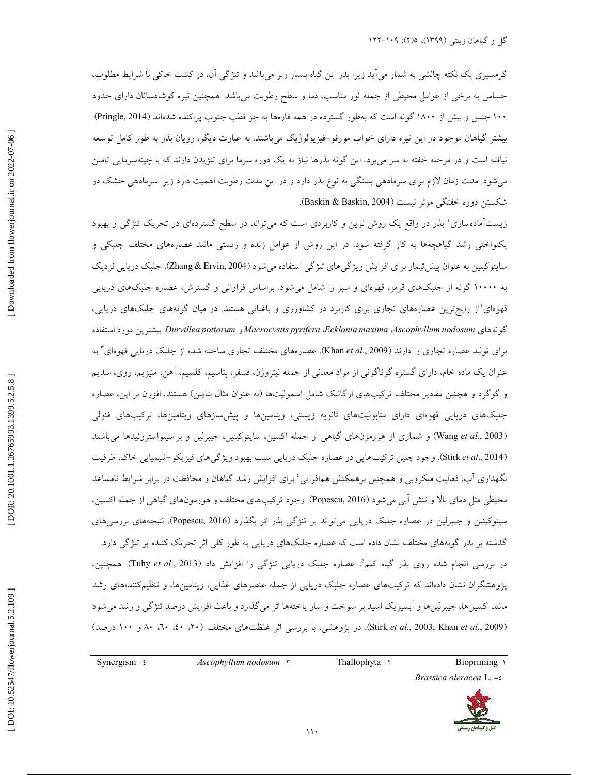گرمسیری یک نکته چالشی به شمار میآید زیرا بذر این گیاه بسیار ریز میباشد و تنژگی آن، در کشت خاکی با شرایط مطلوب، حساس به برخی از عوامل محیطی از جمله نور مناسب، دما و سطح رطوبت میباشد. همچنین تیره کوشادسانان دارای حدود ۱۰۰ جنس و بیش از ۱۸۰۰ گونه است که بهطور گسترده در همه قارهها به جز قطب جنوب پراکنده شدهاند (Pringle, 2014). بیشتر گیاهان موجود در این تیره دارای خواب مورفو–فیزیولوژیک میباشند. به عبارت دیگر، رویان بذر به طور کامل توسعه نیافته است و در مرحله خفته به سر میبرد. این گونه بذرها نیاز به یک دوره سرما برای تنژیدن دارند که با چینهسرمایی تامین میشود. مدت زمان لازم برای سرمادهی بستگی به نوع بذر دارد و در این مدت رطوبت اهمیت دارد زیرا سرمادهی خشک در شکستن دوره خفتگی موثر نیست (Baskin & Baskin, 2004).

زیستآمادهسازی' بذر در واقع یک روش نوین و کاربردی است که میتواند در سطح گستردهای در تحریک تنژگی و بهبود یکنواختی رشد گیاهچهها به کار گرفته شود. در این روش از عوامل زنده و زیستی مانند عصارههای مختلف جلبکی و سایتوکینین به عنوان پیش تیمار برای افزایش ویژگی۵های تنژگی استفاده میشود (Zhang & Ervin, 2004). جلبک دریایی نزدیک به ۱۰۰۰۰ گونه از جلبکهای قرمز، قهوهای و سبز را شامل میشود. براساس فراوانی و گسترش، عصاره جلبکهای دریایی قهوهای'از رایجترین عصارههای تجاری برای کاربرد در کشاورزی و باغبانی هستند. در میان گونههای جلبکهای دریایی، گونههای Durvillea pottorum *و Macrocystis pyrifera ،Ecklonia maxima ،Ascophyllum nodosum بیشترین مورد*استفاده برای تولید عصاره تجاری را دارند (Khan *et al.*, 2009). عصارههای مختلف تجاری ساخته شده از جلبک دریایی قهوهای<sup>۳</sup> به عنوان یک ماده خام، دارای گستره گوناگونی از مواد معدنی از جمله نیتروژن، فسفر، پتاسیم، کلسیم، أهن، منیزیم، روی، سدیم و گوگرد و هچنین مقادیر مختلف ترکیبهای ارگانیک شامل اسمولیتها (به عنوان مثال بتایین) هستند. افزون بر این، عصاره جلبکهای دریایی قهوهای دارای متابولیتهای ثانویه زیستی، ویتامینها و پیشسازهای ویتامینها، ترکیبهای فنولی (Wang et al., 2003) و شماری از هورمونهای گیاهی از جمله اکسین، سایتوکینین، جیبرلین و براسینواستروئیدها میباشند (Stirk et al., 2014). وجود چنین ترکیبهایی در عصاره جلبک دریایی سبب بهبود ویژگیهای فیزیکو–شیمیایی خاک، ظرفیت نگهداری آب، فعالیت میکروبی و همچنین برهمکنش هم|فزایی<sup>،</sup> برای افزایش رشد گیاهان و محافظت در برابر شرایط نامساعد محیطی مثل دمای بالا و تنش أبی میشود (Popescu, 2016). وجود ترکیبهای مختلف و هورمونهای گیاهی از جمله اکسین، سیتوکینین و جیبرلین در عصاره جلبک دریایی میتواند بر تنژگی بذر اثر بگذارد (Popescu, 2016). نتیجههای بررسیهای گذشته بر بذر گونههای مختلف نشان داده است که عصاره جلبکهای دریایی به طور کلی اثر تحریک کننده بر تنژگی دارد. در بررسی انجام شده روی بذر گیاه کلم°، عصاره جلبک دریایی تنژگی را افزایش داد (Tuhy *et al.*, 2013). همچنین، پژوهشگران نشان دادهاند که ترکیبهای عصاره جلبک دریایی از جمله عنصرهای غذایی، ویتامینها، و تنظیمکنندههای رشد مانند اکسینها، جیبرلینها و ابسیزیک اسید بر سوخت و ساز یاختهها اثر میگذارد و باعث افزایش درصد تنژگی و رشد میشود (Stirk *et al.*, 2003; Khan *et al.*, 2009). در پژوهشی، با بررسی اثر غلظتهای مختلف (۲۰، ۴۰، ۴۰، ۴۰ و ۱۰۰ درصد)

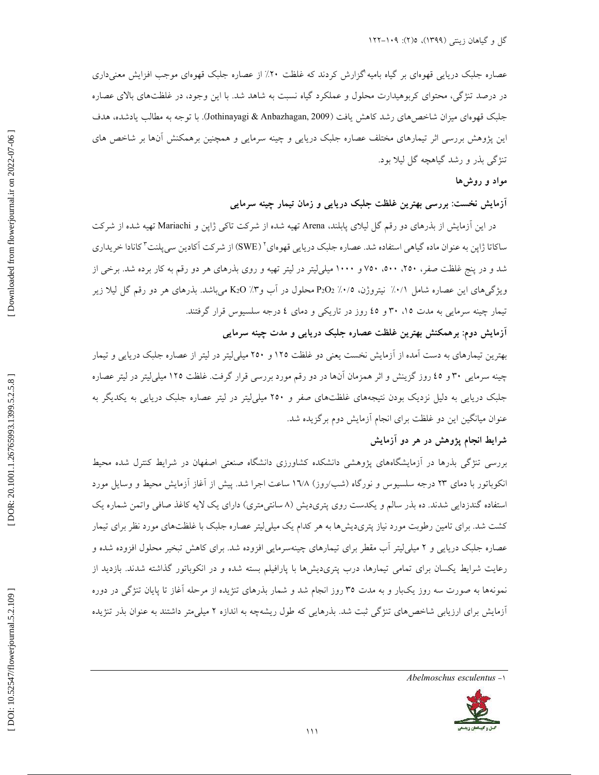عصاره جلبک دریایی قهوهای بر گیاه بامیه گزارش کردند که غلظت ۲۰٪ از عصاره جلبک قهوهای موجب افزایش معنیداری در درصد تنژگی، محتوای کربوهیدارت محلول و عملکرد گیاه نسبت به شاهد شد. با این وجود، در غلظتهای بالای عصاره جلبک قهوهای میزان شاخص،های رشد کاهش یافت (Jothinayagi & Anbazhagan, 2009). با توجه به مطالب یادشده، هدف این پژوهش بررسی اثر تیمارهای مختلف عصاره جلبک دریایی و چینه سرمایی و همچنین برهمکنش انها بر شاخص های تنژگی بذر و رشد گیاهچه گل لیلا بود.

## مواد و روشها

## ازمایش نخست: بررسی بهترین غلظت جلبک دریایی و زمان تیمار چینه سرمایی

در این ازمایش از بذرهای دو رقم گل لیلای پابلند، Arena تهیه شده از شرکت تاکی ژاپن و Mariachi تهیه شده از شرکت ساکاتا ژاپن به عنوان ماده گیاهی استفاده شد. عصاره جلبک دریایی قهوهای<sup>۲</sup> (SWE) از شرکت اَکادین سیپلنت ٔ کانادا خریداری شد و در پنج غلظت صفر، ۲۵۰، ۲۰۰، ۷۵۰ و ۱۰۰۰ میلی[یتر در لیتر تهیه و روی بذرهای هر دو رقم به کار برده شد. برخی از ویژگیهای این عصاره شامل ۰/۱٪ نیتروژن، ۰/۵٪ P2O2 محلول در اب و۲٪ K2O میباشد. بذرهای هر دو رقم گل لیلا زیر تیمار چینه سرمایی به مدت ۱۵، ۳۰ و ٤٥ روز در تاریکی و دمای ٤ درجه سلسیوس قرار گرفتند.

## آزمایش دوم: برهمکنش بهترین غلظت عصاره جلبک دریایی و مدت چینه سرمایی

بهترین تیمارهای به دست امده از ازمایش نخست یعنی دو غلظت ۱۲۵ و ۲۵۰ میلی[یتر در لیتر از عصاره جلبک دریایی و تیمار چینه سرمایی ۳۰ و ٤٥ روز گزینش و اثر همزمان انها در دو رقم مورد بررسی قرار گرفت. غلظت ۱۲۵ میلی[یتر در لیتر عصاره جلبک دریایی به دلیل نزدیک بودن نتیجههای غلظتهای صفر و ۲۵۰ میلی[یتر در لیتر عصاره جلبک دریایی به یکدیگر به عنوان میانگین این دو غلظت برای انجام آزمایش دوم برگزیده شد.

## شرایط انجام پژوهش در هر دو آزمایش

بررسی تنژگی بذرها در أزمایشگاههای پژوهشی دانشکده کشاورزی دانشگاه صنعتی اصفهان در شرایط کنترل شده محیط انکوباتور با دمای ۲۳ درجه سلسیوس و نورگاه (شب/روز) ۱٦/۸ ساعت اجرا شد. پیش از آغاز آزمایش محیط و وسایل مورد استفاده گندزدایی شدند. ده بذر سالم و یکدست روی پتریدیش (۸ سانتیمتری) دارای یک لایه کاغذ صافی واتمن شماره یک کشت شد. برای تامین رطوبت مورد نیاز پتریدیشها به هر کدام یک میلی[یتر عصاره جلبک با غلظتهای مورد نظر برای تیمار عصاره جلبک دریایی و ۲ میلی[یتر أب مقطر برای تیمارهای چینهسرمایی افزوده شد. برای کاهش تبخیر محلول افزوده شده و رعایت شرایط یکسان برای تمامی تیمارها، درب پتریدیشها با پارافیلم بسته شده و در انکوباتور گذاشته شدند. بازدید از نمونهها به صورت سه روز یکبار و به مدت ۳۵ روز انجام شد و شمار بذرهای تنژیده از مرحله اغاز تا پایان تنژگی در دوره ازمایش برای ارزیابی شاخصهای تنژگی ثبت شد. بذرهایی که طول ریشهچه به اندازه ۲ میلیمتر داشتند به عنوان بذر تنژیده

*Abelmoschus esculentus* -1

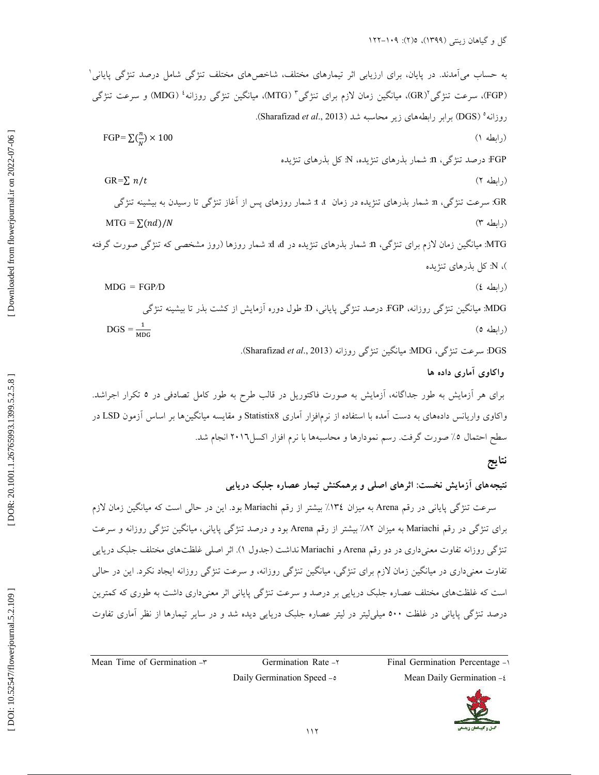K % CG"# T % j5J / [\ T j5J / " @% (1. 0 ". /.(0 "# .CKCH ; Ic 0 1 % 9(2 (FGP ) <sup>2</sup> % /.(0 Ug -XK (GR) 3 K.
" % -XK ( MTG ) <sup>4</sup> % 9(2 (MDG ) K.
" 5 ( . Sharafizad *t ale* ., 2013 ) CT 42 \_ ( / ^0." (0.(0 ( DGS ) FGP*=*  ∑ (1( ^0.") ) × 100 7 C% / ")0 > :N 7 C% / ")0 " @T : n % CG"# :FGP GR *=* ∑ / 2( ^0." ) % 0 0 C2" % % NH . d / " " @T : t t "# 7C% / ")0 " @T : n % 9(2 :GR MTG *=*  ∑( )/ 3( )." ^0 !( F"< G % > 8J 
") " " @T : d d "# 7C% / ")0 " @T : n % /.(0 Ug -XK :MTG 7 C% / ")0 > :N ( MDG *=* FGP */*D 4( ^0." ) % 0 % ")0 > . , H 7"
# k<= : D K % CG"# :FGP K.
" % -XK :MDG DGS *=* 5( ^0." ) .( Sharafizad *et al*., 2013 ) K.
" % -XK : MDG % 9(2 :DGS  **0 (** CT . .(6. ".(V% "#5 !# 8% > "<= 0 r(= b B "# "<> ! F"<G 0 , H K .C6 "<= 0 , H ( /.(0 "# LSD <H Q 2. (0 -XK I Statistix8 /" H ".?!.U(K . 7# O2. 0 7CH 2# 0 / 7#.# dK ". /
 >. .CT U WK. 2016I>. ".?!. U(K 0 42 \_ 
 ".#<@K A2" . !( F"<G 5% k @c. ]^2

## نتا<u>يج</u>

نتیجههای ازمایش نخست: اثرهای اصلی و برهمکنش تیمار عصاره جلبک دریایی

سرعت تنژگی پایانی در رقم Arena به میزان ١٣٤٪ بیشتر از رقم Mariachi بود. این در حالی است که میانگین زمان لازم برای تنژگی در رقم Mariachi به میزان ۸۲٪ بیشتر از رقم Arena بود و درصد تنژگی پایانی، میانگین تنژگی روزانه و سرعت تنژگی روزانه تفاوت معنیداری در دو رقم Arena و Mariachi نداشت (جدول ۱). اثر اصلی غلظتهای مختلف جلبک دریایی تفاوت معنیداری در میانگین زمان لازم برای تنژگی، میانگین تنژگی روزانه، و سرعت تنژگی روزانه ایجاد نکرد. این در حالی است که غلظتهای مختلف عصاره جلبک دریایی بر درصد و سرعت تنژگی پایانی اثر معنیداری داشت به طوری که کمترین درصد تنژگی پایانی در غلظت ۵۰۰ میلی[یتر در لیتر عصاره جلبک دریایی دیده شد و در سایر تیمارها از نظر اماری تفاوت

Mean Time of Germination  $-\tau$  Germination Rate - Final Germination Percentage - 1-

Daily Germination Speed - a Mean Daily Germination - t



[ DOI: 10.52547/flowerjournal.5.2.109 ] [\[ DOR: 20.1001.1.26765993.1399.5.2.5.8 \]](https://dorl.net/dor/20.1001.1.26765993.1399.5.2.5.8) [\[ Downloaded from flowerjournal.ir on 202](http://flowerjournal.ir/article-1-187-fa.html)2-07-06 ] [Downloaded from flowerjournal.ir on 2022-07-06]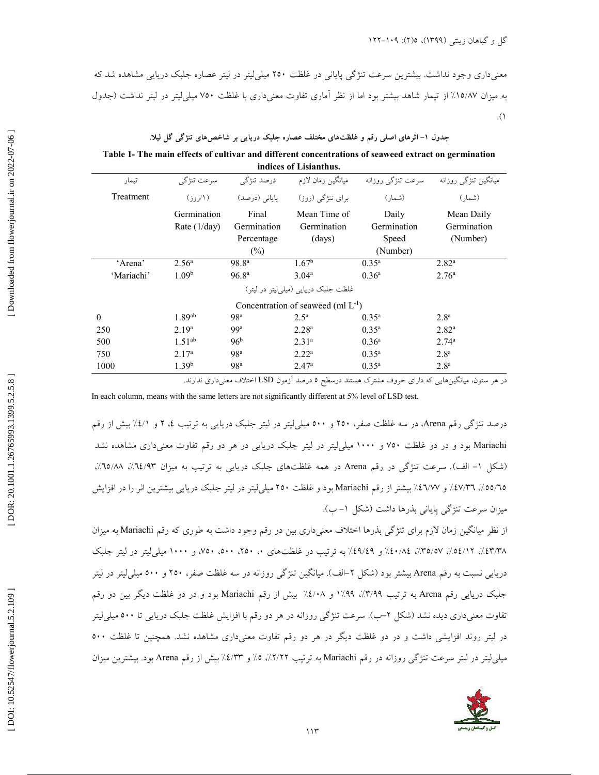معنیداری وجود نداشت. بیشترین سرعت تنژگی پایانی در غلظت ۲۵۰ میلی[یتر در لیتر عصاره جلبک دریایی مشاهده شد که به میزان ۱۵/۸۷٪ از تیمار شاهد بیشتر بود اما از نظر اماری تفاوت معنیداری با غلظت ۷۰۰ میلی[یتر در لیتر نداشت (جدول  $\cdot$ .(1)

#### جدول ۱– اثرهای اصلی رقم و غلظتهای مختلف عصاره جلبک دریایی بر شاخصهای تنژگی گل لیلا.  $\overline{\phantom{a}}$

**Table 1- The main effects of cultivar and different concentrations of seaweed extract on germination indices of Lisianthus.**

| تيمار                                   | سرعت تنژگی                    | درصد تنژگی                                   | ميانگين زمان لازم                            | سرعت تنژگی روزانه                         | میانگین تنژگی روزانه                  |  |  |
|-----------------------------------------|-------------------------------|----------------------------------------------|----------------------------------------------|-------------------------------------------|---------------------------------------|--|--|
| Treatment                               |                               | یایانی (درصد)                                | برای تنژگی (روز)                             | (شمار )                                   | (شمار )                               |  |  |
|                                         | Germination<br>Rate $(1/day)$ | Final<br>Germination<br>Percentage<br>$(\%)$ | Mean Time of<br>Germination<br>$\frac{1}{2}$ | Daily<br>Germination<br>Speed<br>(Number) | Mean Daily<br>Germination<br>(Number) |  |  |
| 'Arena'                                 | $2.56^{\circ}$                | 98.8 <sup>a</sup>                            | 1.67 <sup>b</sup>                            | $0.35^{\rm a}$                            | $2.82^{\rm a}$                        |  |  |
| 'Mariachi'                              | 1.09 <sup>b</sup>             | 96.8 <sup>a</sup>                            | $3.04^{\rm a}$                               | $0.36^{\circ}$                            | 2.76 <sup>a</sup>                     |  |  |
| غلظت جلبک دربابی (میلی لیتر در لیتر)    |                               |                                              |                                              |                                           |                                       |  |  |
| Concentration of seaweed (ml $L^{-1}$ ) |                               |                                              |                                              |                                           |                                       |  |  |
| $\theta$                                | $1.89$ <sup>ab</sup>          | 98 <sup>a</sup>                              | $2.5^{\rm a}$                                | $0.35^{\rm a}$                            | 2.8 <sup>a</sup>                      |  |  |
| 250                                     | 2.19 <sup>a</sup>             | 99 <sup>a</sup>                              | $2.28^{a}$                                   | $0.35^{\rm a}$                            | $2.82^{\rm a}$                        |  |  |
| 500                                     | $1.51^{ab}$                   | 96 <sup>b</sup>                              | $2.31^{a}$                                   | $0.36^{\rm a}$                            | $2.74^{\circ}$                        |  |  |
| 750                                     | 2.17 <sup>a</sup>             | 98 <sup>a</sup>                              | 2.22 <sup>a</sup>                            | $0.35^{\rm a}$                            | 2.8 <sup>a</sup>                      |  |  |
| 1000                                    | 1.39 <sup>b</sup>             | 98 <sup>a</sup>                              | 2.47 <sup>a</sup>                            | $0.35^{\rm a}$                            | 2.8 <sup>a</sup>                      |  |  |

در هر ستون، میانگینهایی که دارای حروف مشترک هستند درسطح ۵ درصد آزمون LSD اختلاف معنیداری ندارند.

In each column, means with the same letters are not significantly different at 5% level of LSD test.

درصد تنژگی رقم Arena، در سه غلظت صفر، ۲۵۰ و ۵۰۰ میلی[یتر در لیتر جلبک دریایی به ترتیب ٤، ۲ و ٤/١٪ بیش از رقم Mariachi بود و در دو غلظت ۷۵۰ و ۱۰۰۰ میل<sub>م</sub>ایتر در لیتر جلبک دریایی در هر دو رقم تفاوت معنی۱اری مشاهده نشد (شکل ۱– الف). سرعت تنژگی در رقم Arena در همه غلظتهای جلبک دریایی به ترتیب به میزان ۰۵/۸۳٪، ۱۵/۸۸٪، ٥٥/٦٥/، ٤٧/٣٦٪ و ٤٦/٧٧؛ بيشتر از رقم Mariachi بود و غلظت ٢٥٠ ميلي ليتر در ليتر جلبک دريايي بيشترين اثر را در افزايش میزان سرعت تنژگی پایانی بذرها داشت (شکل ۱– ب).

از نظر میانگین زمان لازم برای تنژگی بذرها اختلاف معنیداری بین دو رقم وجود داشت به طوری که رقم Mariachi به میزان ٤٩/١٪، ٥٤/١٢٪، ٣٥/٥٧٪، ٤٩/٤٩٪ و ٤٩/٤٩٪ به ترتيب در غلظتهاى ٠، ٢٥٠، ٢٥٠، ٢٥٠، و ١٠٠٠ ميلي[يتر در ليتر جلبک دریایی نسبت به رقم Arena بیشتر بود (شکل ۲–الف). میانگین تنژگی روزانه در سه غلظت صفر، ۲۵۰ و ۵۰۰ میلم لیتر در لیتر جلبک دریایی رقم Arena به ترتیب ۱٬۹۹۹/: ۸/۰۹۹ و ۱٬۶/۰۸ بیش از رقم Mariachi بود و در دو غلظت دیگر بین دو رقم تفاوت معنیداری دیده نشد (شکل ۲–ب). سرعت تنژگی روزانه در هر دو رقم با افزایش غلظت جلبک دریایی تا ۵۰۰ میلی[یتر در لیتر روند افزایشی داشت و در دو غلظت دیگر در هر دو رقم تفاوت معنیداری مشاهده نشد. همچنین تا غلظت ۵۰۰ میلی لیتر در لیتر سرعت تنژگی روزانه در رقم Mariachi به ترتیب ۲/۲٪، ٥٪ و ٤/٣٪ بیش از رقم Arena بود. بیشترین میزان

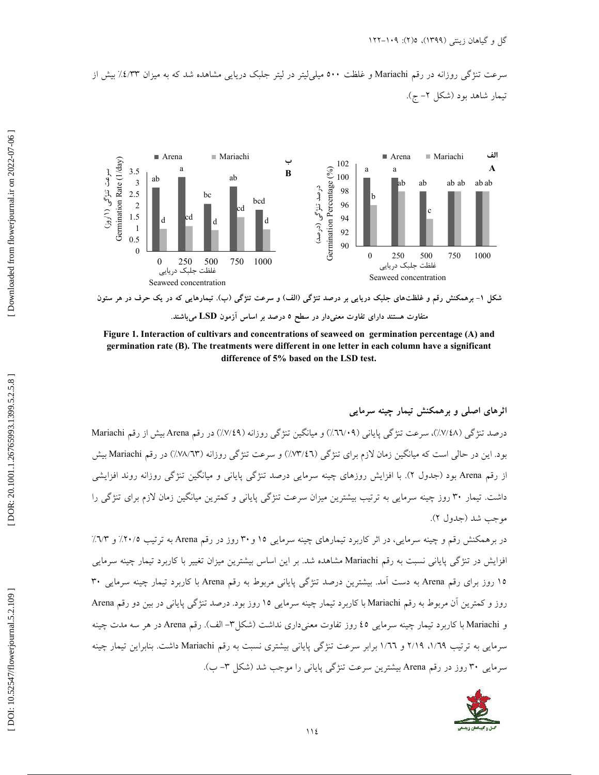سرعت تنژگی روزانه در رقم Mariachi و غلظت ۵۰۰ میلی[یتر در لیتر جلبک دریایی مشاهده شد که به میزان *۱.۶/*۳۳٪ بیش از تیمار شاهد بود (شکل ۲– ج).



شکل ۱– برهمکنش رقم و غلظتهای جلبک دریایی بر درصد تنژگی (الف) و سرعت تنژگی (ب). تیمارهایی که در یک حرف در هر ستون متفاوت هستند دارای تفاوت معنی**دار در سطح ۵ درصد بر اساس آزمون LSD میباشند.** 

**Figure 1. Interaction of cultivars and concentrations of seaweed on germination percentage (A) and germination rate (B). The treatments were different in one letter in each column have a significant difference of 5% based on the LSD test.**

ثرهای اصلی و برهمکنش تیمار چینه سرمایی Í درصد تنژگی (٧/٤٨٪)، سرعت تنژگی پایانی (٦٦/٠٩٪) و میانگین تنژگی روزانه (٧/٤٩٪) در رقم Arena بیش از رقم Mariachi بود. این در حالی است که میانگین زمان لازم برای تنژگی (۴٪/۳٪) و سرعت تنژگی روزانه (۷۳/۱۳٪) در رقم Mariachi بیش از رقم Arena بود (جدول ۲). با افزایش روزهای چینه سرمایی درصد تنژگی پایانی و میانگین تنژگی روزانه روند افزایشی داشت. تیمار ۳۰ روز چینه سرمایی به ترتیب بیشترین میزان سرعت تنژگی پایانی و کمترین میانگین زمان لازم برای تنژگی را موجب شد (جدول ۲).

در برهمکنش رقم و چینه سرمایی، در اثر کاربرد تیمارهای چینه سرمایی ۱۵ و ۳۰ روز در رقم Arena به ترتیب ۲۰/۵٪ و ۷۳٪ افزایش در تنژگی پایانی نسبت به رقم Mariachi مشاهده شد. بر این اساس بیشترین میزان تغییر با کاربرد تیمار چینه سرمایی ۱۵ روز برای رقم Arena به دست آمد. بیشترین درصد تنژگی پایانی مربوط به رقم Arena با کاربرد تیمار چینه سرمایی ۳۰ روز و كمترين آن مربوط به رقم Mariachi با كاربرد تيمار چينه سرمايي ١٥ روز بود. درصد تنژگي پاياني در بين دو رقم Arena و Mariachi با کاربرد تیمار چینه سرمایی ٤٥ روز تفاوت معنیداری نداشت (شکل۳– الف). رقم Arena در هر سه مدت چینه سرمایی به ترتیب ۱/٦٩، ۲/۱۹ و ۱/٦٦ برابر سرعت تنژگی پایانی بیشتری نسبت به رقم Mariachi داشت. بنابراین تیمار چینه سرمایی ۳۰ روز در رقم Arena بیشترین سرعت تنژگی پایانی را موجب شد (شکل ۳- ب).

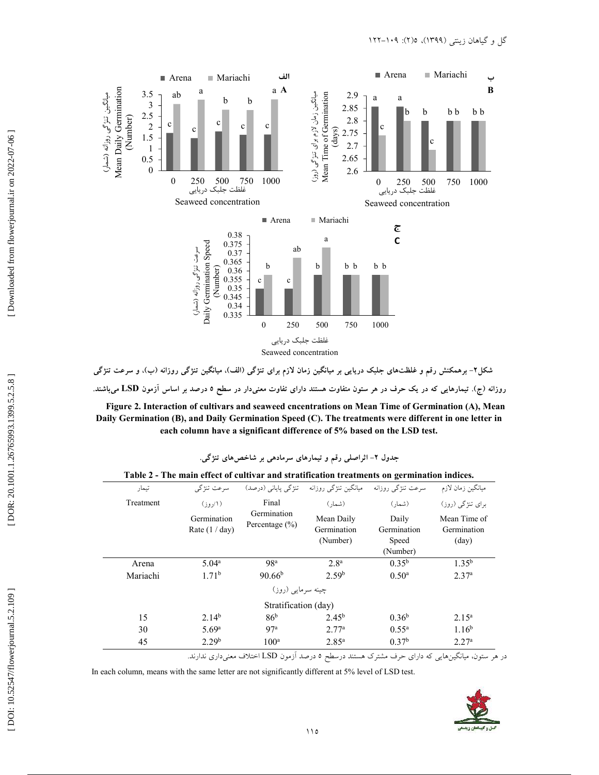

شکل۲– برهمکنش رقم و غلظتهای جلبک دریایی بر میانگین زمان لازم برای تنژگی (الف)، میانگین تنژگی روزانه (ب)، و سرعت تنژگی روزانه (ج). تیمارهایی که در یک حرف در هر ستون متفاوت هستند دارای تفاوت معنیدار در سطح ۵ درصد بر اساس آزمون  $\bf{LSD}$  می!شند.

**Figure 2. Interaction of cultivars and seaweed cncentrations on Mean Time of Germination (A), Mean Daily Germination (B), and Daily Germination Speed (C). The treatments were different in one letter in each column have a significant difference of 5% based on the LSD test.** 

| تيمار     | سرعت تنژگی                      |                                   | میانگین تنژگی روزانه - تنژگی پایانی (درصد) | سرعت تنژگی روزانه    | ميانگين زمان لازم           |
|-----------|---------------------------------|-----------------------------------|--------------------------------------------|----------------------|-----------------------------|
| Treatment | (۱/روز)                         | Final                             | (شمار)                                     | (شمار )              | برای تنژگی (روز)            |
|           | Germination<br>Rate $(1 / day)$ | Germination<br>Percentage $(\% )$ | Mean Daily<br>Germination                  | Daily<br>Germination | Mean Time of<br>Germination |
|           |                                 |                                   | (Number)                                   | Speed                | $\text{(day)}$              |
|           |                                 |                                   |                                            | (Number)             |                             |
| Arena     | 5.04 <sup>a</sup>               | 98 <sup>a</sup>                   | 2.8 <sup>a</sup>                           | $0.35^{b}$           | $1.35^{b}$                  |
| Mariachi  | 1.71 <sup>b</sup>               | $90.66^{b}$                       | 2.59 <sup>b</sup>                          | $0.50^{\rm a}$       | 2.37 <sup>a</sup>           |
|           |                                 | چینه سرمایی (روز)                 |                                            |                      |                             |
|           |                                 | Stratification (day)              |                                            |                      |                             |
| 15        | $2.14^{b}$                      | 86 <sup>b</sup>                   | $2.45^{\rm b}$                             | $0.36^{\rm b}$       | $2.15^{\rm a}$              |
| 30        | 5.69 <sup>a</sup>               | 97a                               | 2.77 <sup>a</sup>                          | $0.55^{\rm a}$       | 1.16 <sup>b</sup>           |
| 45        | 2.29 <sup>b</sup>               | 100 <sup>a</sup>                  | $2.85^{\rm a}$                             | 0.37 <sup>b</sup>    | 2.27 <sup>a</sup>           |

**Table 2 - The main effect of cultivar and stratification treatments on germination indices.**

در هر ستون، میانگینهایی که دارای حرف مشترک هستند درسطح ۵ درصد آزمون LSD اختلاف معنیداری ندارند.

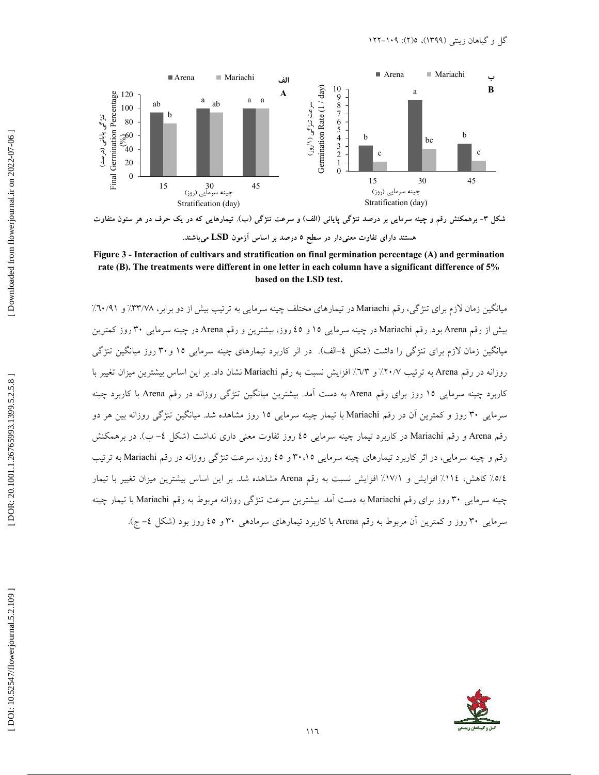

شکل ۳- برهمکنش رقم و چینه سرمایی بر درصد تنژگی پایانی (الف) و سرعت تنژگی (ب). تیمارهایی که در یک حرف در هر ستون متفاوت هستند دارای تفاوت معنی**دار در سطح ۵ درصد بر اساس آزمون LSD می**باشند.

**Figure 3 - Interaction of cultivars and stratification on final germination percentage (A) and germination rate (B). The treatments were different in one letter in each column have a significant difference of 5% based on the LSD test.** 

میانگین زمان لازم برای تنژگی، رقم Mariachi در تیمارهای مختلف چینه سرمایی به ترتیب بیش از دو برابر، ۳۳/۷۸٪ و ۹۱۰/۹٪ بیش از رقم Arena بود. رقم Mariachi در چینه سرمایی ۱۵ و ٤٥ روز، بیشترین و رقم Arena در چینه سرمایی ۳۰ روز کمترین میانگین زمان لازم برای تنژگی را داشت (شکل ٤–الف). در اثر کاربرد تیمارهای چینه سرمایی ۱۵ و ۳۰ روز میانگین تنژگی روزانه در رقم Arena به ترتیب ٢٠/٧٪ و ٦٧٪ افزایش نسبت به رقم Mariachi نشان داد. بر این اساس بیشترین میزان تغییر با کاربرد چینه سرمایی ۱۵ روز برای رقم Arena به دست آمد. بیشترین میانگین تنژگی روزانه در رقم Arena با کاربرد چینه سرمایی ۳۰ روز و کمترین آن در رقم Mariachi با تیمار چینه سرمایی ۱۵ روز مشاهده شد. میانگین تنژگی روزانه بین هر دو رقم Arena و رقم Mariachi در کاربرد تیمار چینه سرمایی ٤٥ روز تفاوت معنی داری نداشت (شکل ٤– ب). در برهمکنش رقم و چینه سرمایی، در اثر کاربرد تیمارهای چینه سرمایی ۳۰،۱۵ و ٤٥ روز، سرعت تنژگی روزانه در رقم Mariachi به ترتیب 0/٤/ كاهش، ١١٤٪ افزايش و ١٧/١٪ افزايش نسبت به رقم Arena مشاهده شد. بر اين اساس بيشترين ميزان تغيير با تيمار چینه سرمایی ۳۰ روز برای رقم Mariachi به دست آمد. بیشترین سرعت تنژگی روزانه مربوط به رقم Mariachi با تیمار چینه سرمایی ۳۰ روز و کمترین آن مربوط به رقم Arena با کاربرد تیمارهای سرمادهی ۳۰ و ٤٥ روز بود (شکل ٤- ج).

Downloaded from flowerjournal.ir on 2022-07-06

DOR: 20.1001.1.26765993.1399.5.2.5.8]

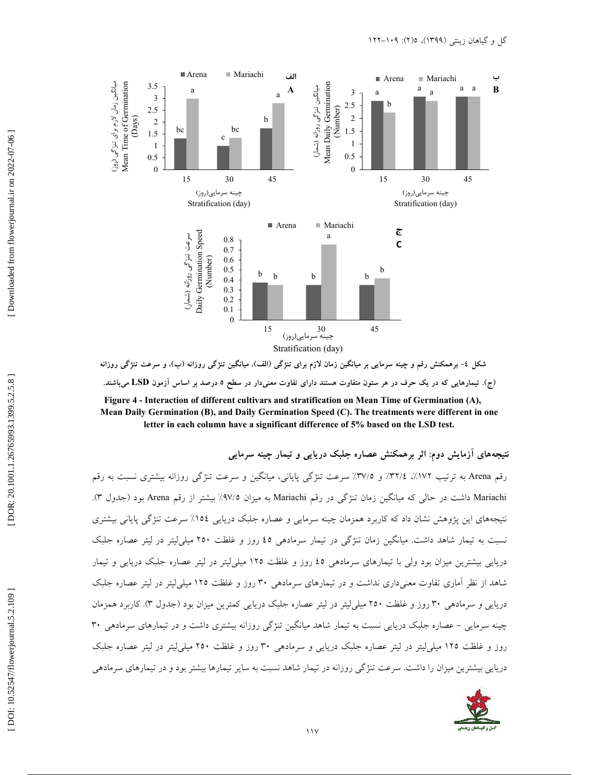

شکل ٤- برهمکنش رقم و چینه سرمایی بر میانگین زمان لازم برای تنژگی (الف)، میانگین تنژگی روزانه (ب)، و سرعت تنژگی روزانه (ج). تیمارهایی که در یک حرف در هر ستون متفاوت هستند دارای تفاوت معنی**رار در سطح ۵ درصد بر اساس آزمون LSD می**باشند.

**Figure 4 - Interaction of different cultivars and stratification on Mean Time of Germination (A), Mean Daily Germination (B), and Daily Germination Speed (C). The treatments were different in one letter in each column have a significant difference of 5% based on the LSD test.**

نتیجههای ازمایش دوم: اثر برهمکنش عصاره جلبک دریای*ی* و تیمار چینه سرمایی

رقم Arena به ترتیب ١٧٢٪، ١٣٢/٤٪ و ٣٧/٥٪ سرعت تنژگی پایانی، میانگین و سرعت تنژگی روزانه بیشتری نسبت به رقم Mariachi داشت در حالی که میانگین زمان تنژگی در رقم Mariachi به میزان ۹۷/۵٪ بیشتر از رقم Arena بود (جدول ۳). نتیجههای این پژوهش نشان داد که کاربرد همزمان چینه سرمایی و عصاره جلبک دریایی ۱۵٤٪ سرعت تنژگی پایانی بیشتری نسبت به تیمار شاهد داشت. میانگین زمان تنژگی در تیمار سرمادهی ٤٥ روز و غلظت ٢٥٠ میلی[یتر در لیتر عصاره جلبک دریایی بیشترین میزان بود ولی با تیمارهای سرمادهی ٤٥ روز و غلظت ١٢٥ میلی[یتر در لیتر عصاره جلبک دریایی و تیمار شاهد از نظر أماری تفاوت معنیداری نداشت و در تیمارهای سرمادهی ۳۰ روز و غلظت ۱۲۵ میلی[یتر در لیتر عصاره جلبک دریایی و سرمادهی ۳۰ روز و غلظت ۲۵۰ میلی[یتر در لیتر عصاره جلبک دریایی کمترین میزان بود (جدول ۳). کاربرد همزمان چینه سرمایی – عصاره جلبک دریایی نسبت به تیمار شاهد میانگین تنژگی روزانه بیشتری داشت و در تیمارهای سرمادهی ۳۰ روز و غلظت ۱۲۵ میلی[یتر در لیتر عصاره جلبک دریایی و سرمادهی ۳۰ روز و غلظت ۲۵۰ میلی[یتر در لیتر عصاره جلبک هد نسبت به سایر تیمارها بیشتر بود و در تیمارهای سرمادهی

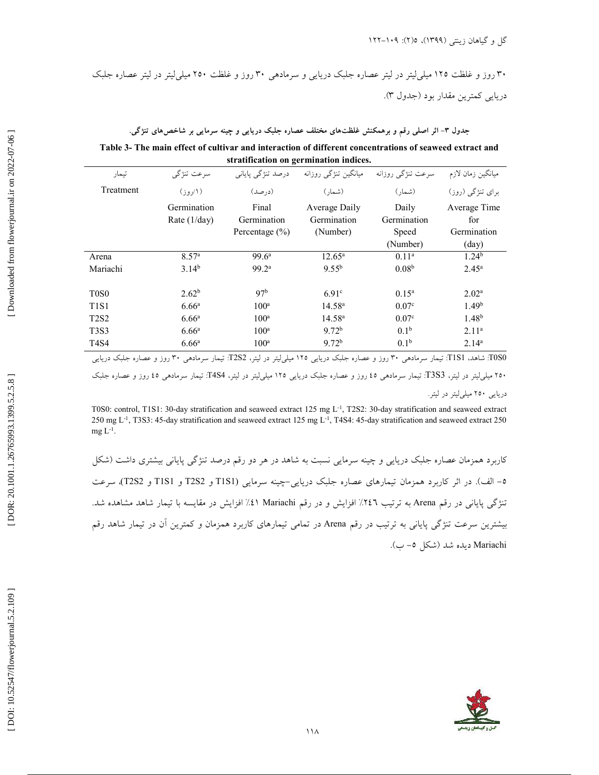۳۰ روز و غلظت ۱۲۵ میلی[یتر در لیتر عصاره جلبک دریایی و سرمادهی ۳۰ روز و غلظت ۲۵۰ میلی[یتر در لیتر عصاره جلبک دريايي كمترين مقدار بود (جدول ٣).

جدول ۳– اثر اصلی رقم و برهمکنش غلظتهای مختلف عصاره جلبک دریایی و چینه سرمایی بر شاخصهای تنژگی.

**Table 3- The main effect of cultivar and interaction of different concentrations of seaweed extract and stratification on germination indices.**

| تيمار                         | سرعت تنژگی                    | درصد تنژگی پایانی    | میانگین تنژگی روزانه         | سرعت تنژگي روزانه    | ميانگين زمان لازم             |  |  |  |  |
|-------------------------------|-------------------------------|----------------------|------------------------------|----------------------|-------------------------------|--|--|--|--|
| Treatment                     | $($ $\mathcal{N}$             | $(c, \infty)$        | (شمار)                       | (شمار)               | برای تنژگی (روز)              |  |  |  |  |
|                               | Germination<br>Rate $(1/day)$ | Final<br>Germination | Average Daily<br>Germination | Daily<br>Germination | Average Time<br>for           |  |  |  |  |
|                               |                               | Percentage $(\% )$   | (Number)                     | Speed<br>(Number)    | Germination<br>$\text{(day)}$ |  |  |  |  |
|                               |                               |                      |                              |                      |                               |  |  |  |  |
| Arena                         | 8.57 <sup>a</sup>             | $99.6^{\circ}$       | $12.65^{\rm a}$              | 0.11 <sup>a</sup>    | 1.24 <sup>b</sup>             |  |  |  |  |
| Mariachi                      | $3.14^{b}$                    | 99.2 <sup>a</sup>    | $9.55^{b}$                   | 0.08 <sup>b</sup>    | $2.45^{\rm a}$                |  |  |  |  |
|                               |                               |                      |                              |                      |                               |  |  |  |  |
| T <sub>0</sub> S <sub>0</sub> | 2.62 <sup>b</sup>             | 97 <sup>b</sup>      | 6.91 <sup>c</sup>            | $0.15^{\rm a}$       | 2.02 <sup>a</sup>             |  |  |  |  |
| T <sub>1</sub> S <sub>1</sub> | 6.66 <sup>a</sup>             | 100 <sup>a</sup>     | 14.58 <sup>a</sup>           | 0.07 <sup>c</sup>    | 1.49 <sup>b</sup>             |  |  |  |  |
| <b>T2S2</b>                   | 6.66 <sup>a</sup>             | 100 <sup>a</sup>     | 14.58 <sup>a</sup>           | 0.07 <sup>c</sup>    | 1.48 <sup>b</sup>             |  |  |  |  |
| <b>T3S3</b>                   | 6.66 <sup>a</sup>             | 100 <sup>a</sup>     | 9.72 <sup>b</sup>            | 0.1 <sup>b</sup>     | 2.11 <sup>a</sup>             |  |  |  |  |
| T4S4                          | 6.66 <sup>a</sup>             | $100^a$              | 9.72 <sup>b</sup>            | 0.1 <sup>b</sup>     | $2.14^{a}$                    |  |  |  |  |

TOS0: شاهد، TIS1: تیمار سرمادهی ۳۰ روز و عصاره جلبک دریایی ۱۲۵ میلی[یتر در لیتر، T2S2: تیمار سرمادهی ۳۰ روز و عصاره جلبک دریایی

۲٥۰ میلی[یتر در لیتر، T3S3: تیمار سرمادهی ٤٥ روز و عصاره جلبک دریایی ۱۲۵ میلی[یتر در لیتر، T4S4: تیمار سرمادهی ٤٥ روز و عصاره جلبک

دریایی ۲۵۰ میلی لیتر در لیتر.

T0S0: control, T1S1: 30-day stratification and seaweed extract 125 mg L-1, T2S2: 30-day stratification and seaweed extract 250 mg L-1, T3S3: 45-day stratification and seaweed extract 125 mg L-1, T4S4: 45-day stratification and seaweed extract 250  $mg L^{-1}$ .

کاربرد همزمان عصاره جلبک دریایی و چینه سرمایی نسبت به شاهد در هر دو رقم درصد تنژگی پایانی بیشتری داشت (شکل 0– الف). در اثر کاربرد همزمان تیمارهای عصاره جلبک دریایی–چینه سرمایی (T1S1 و T2S2 و T1S1 و T2S2)، سرعت تنژگی پایانی در رقم Arena به ترتیب ۲٤٦٪ افزایش و در رقم Mariachi ۱٪ افزایش در مقایسه با تیمار شاهد مشاهده شد. بیشترین سرعت تنژگی پایانی به ترتیب در رقم Arena در تمامی تیمارهای کاربرد همزمان و کمترین آن در تیمار شاهد رقم Mariachi ديده شد (شكل ٥– ب).

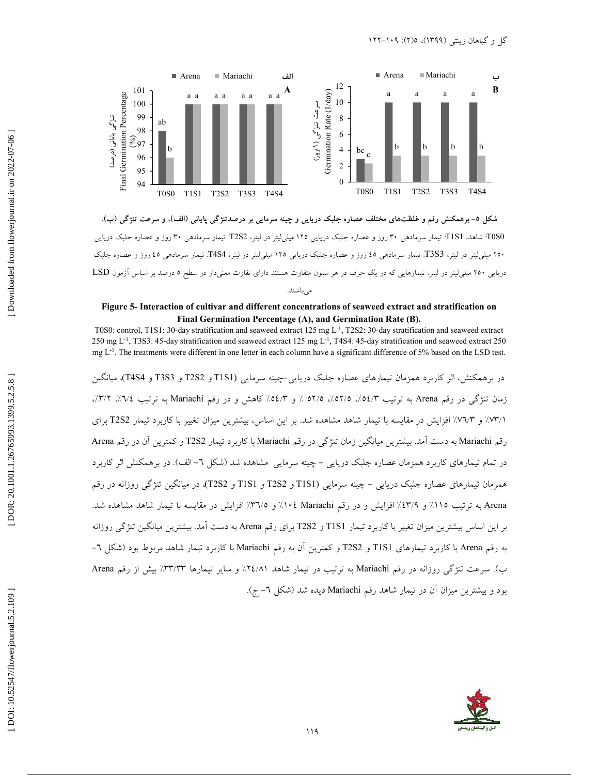

شکل ٥- برهمکنش رقم و غلظتهای مختلف عصاره جلبک دریایی و چینه سرمایی بر درصدتنژگی پایانی (الف)، و سرعت تنژگی (ب). TOS0: شاهد، TIS1: تیمار سرمادهی ۳۰ روز و عصاره جلبک دریایی ۱۲۵ میلی[یتر در لیتر، T2S2: تیمار سرمادهی ۳۰ روز و عصاره جلبک دریایی ۲٥۰ میلی[یتر در لیتر، T3S3: تیمار سرمادهی ٤٥ روز و عصاره جلبک دریایی ۱۲۵ میلی[یتر در لیتر، T4S4: تیمار سرمادهی ٤٥ روز و عصاره جلبک دریایی ۲۵۰ میلی[یتر در لیتر. تیمارهایی که در یک حرف در هر ستون متفاوت هستند دارای تفاوت معنیدار در سطح ۵ درصد بر اساس آزمون LSD می باشند.

## **Figure 5- Interaction of cultivar and different concentrations of seaweed extract and stratification on Final Germination Percentage (A), and Germination Rate (B).**

T0S0: control, T1S1: 30-day stratification and seaweed extract 125 mg L-1, T2S2: 30-day stratification and seaweed extract 250 mg  $L^{-1}$ , T3S3: 45-day stratification and seaweed extract 125 mg  $L^{-1}$ , T4S4: 45-day stratification and seaweed extract 250 mg L<sup>-1</sup>. The treatments were different in one letter in each column have a significant difference of 5% based on the LSD test.

در برهمکنش، اثر کاربرد همزمان تیمارهای عصاره جلبک دریایی–چینه سرمایی (T1S1 و T2S2 و T3S3 و T4S4)، میانگین زمان تنژگی در رقم Arena به ترتیب ۵۲/۵٪، ۵۲/۵٪، ۵۲/۵٪ و ۵٤/۳٪ کاهش و در رقم Mariachi به ترتیب ۷٪، ۳/۲٪، ۰/۷۳/۱/ و ۷۳/۳/ افزایش در مقایسه با تیمار شاهد مشاهده شد. بر این اساس، بیشترین میزان تغییر با کاربرد تیمار T2S2 برای رقم Mariachi به دست آمد. بیشترین میانگین زمان تنژگی در رقم Mariachi با کاربرد تیمار T2S2 و کمترین آن در رقم Arena در تمام تیمارهای کاربرد همزمان عصاره جلبک دریایی – چینه سرمایی مشاهده شد (شکل ٦– الف). در برهمکنش اثر کاربرد همزمان تیمارهای عصاره جلبک دریایی – چینه سرمایی (T1S1 و T2S2 و T1S1 و T2S2)، در میانگین تنژگی روزانه در رقم Arena به ترتیب ۱۱۵٪ و ٤٣/٩٪ افزایش و در رقم ۱۰٤ Mariachi/ و ٣٦/٥٪ افزایش در مقایسه با تیمار شاهد مشاهده شد. بر این اساس بیشترین میزان تغییر با کاربرد تیمار T1S1 و T2S2 برای رقم Arena به دست آمد. بیشترین میانگین تنژگی روزانه به رقم Arena با کاربرد تیمارهای T1S1 و T2S2 و کمترین ان به رقم Mariachi با کاربرد تیمار شاهد مربوط بود (شکل ٦– ب). سرعت تنژگی روزانه در رقم Mariachi به ترتیب در تیمار شاهد ۲٤/۸۱٪ و سایر تیمارها ۳۳/۳۳٪ بیش از رقم Arena بود و بیشترین میزان ان در تیمار شاهد رقم Mariachi دیده شد (شکل ٦– ج).

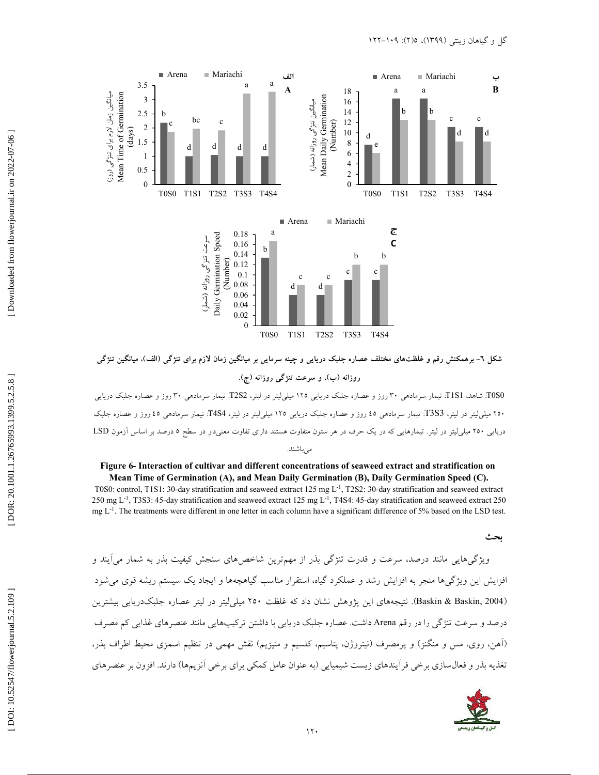

شکل ٦- برهمکنش رقم و غلظتهای مختلف عصاره جلبک دریایی و چینه سرمایی بر میانگین زمان لازم برای تنژگی (الف)، میانگین تنژگی

روزانه (ب)، و سرعت تنژگ<sub>ی</sub> روزانه (ج).

TOS0: شاهد، TIS1: تیمار سرمادهی ۳۰ روز و عصاره جلبک دریایی ۱۲۵ میلی[یتر در لیتر، T2S2: تیمار سرمادهی ۳۰ روز و عصاره جلبک دریایی ۲٥۰ میلی[یتر در لیتر، T3S3: تیمار سرمادهی ٤٥ روز و عصاره جلبک دریایی ۱۲۵ میلی[یتر در لیتر، T4S4: تیمار سرمادهی ٤٥ روز و عصاره جلبک دریایی ۲۰۰ میلی[یتر در لیتر. تیمارهایی که در یک حرف در هر ستون متفاوت هستند دارای تفاوت معنیدار در سطح ۵ درصد بر اساس آزمون LSD مى باشند.

#### **Figure 6- Interaction of cultivar and different concentrations of seaweed extract and stratification o n Mean Time of Germination (A), and Mean Daily Germination (B), Daily Germination Speed (C).**

T0S0: control, T1S1: 30-day stratification and seaweed extract 125 mg L-1, T2S2: 30-day stratification and seaweed extract 250 mg L-1, T3S3: 45-day stratification and seaweed extract 125 mg L-1, T4S4: 45-day stratification and seaweed extract 250 mg L<sup>-1</sup>. The treatments were different in one letter in each column have a significant difference of 5% based on the LSD test.

 **[\** 

ویژگیهایی مانند درصد، سرعت و قدرت تنژگی بذر از مهم¤رین شاخصهای سنجش کیفیت بذر به شمار می[یند و افزایش این ویژگیها منجر به افزایش رشد و عملکرد گیاه، استقرار مناسب گیاهچهها و ایجاد یک سیستم ریشه قوی میشود (Baskin & Baskin, 2004). نتیجههای این پژوهش نشان داد که غلظت ۲۵۰ میلی(لیتر در لیتر عصاره جلبکدریایی بیشترین درصد و سرعت تنژگی را در رقم Arena داشت. عصاره جلبک دریایی با داشتن ترکیبهایی مانند عنصرهای غذایی کم مصرف (أهن، روی، مس و منگنز) و پرمصرف (نیتروژن، پتاسیم، کلسیم و منیزیم) نقش مهمی در تنظیم اسمزی محیط اطراف بذر، های زیست شیمیایی (به عنوان عامل کمکی برای برخی انزیمها) دارند. افزون بر عنصرهای

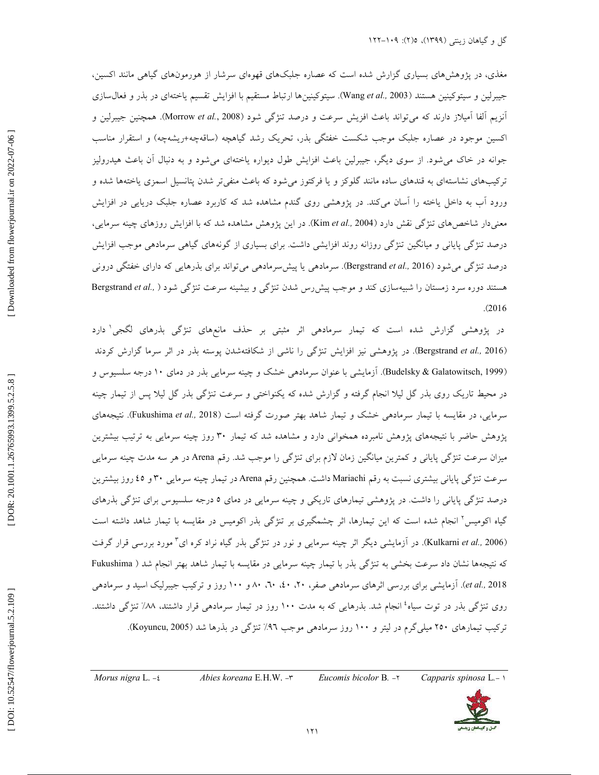مغذی، در پژوهشهای بسیاری گزارش شده است که عصاره جلبکهای قهوهای سرشار از هورمونهای گیاهی مانند اکسین، جیبرلین و سیتوکینین هستند (Wang *et al.,* 2003). سیتوکینینها ارتباط مستقیم با افزایش تقسیم یاختهای در بذر و فعال $\omega$ انزیم الفا امیلاز دارند که میتواند باعث افزیش سرعت و درصد تنژگی شود (Morrow *et al.*, 2008). همچنین جیبرلین و اکسین موجود در عصاره جلبک موجب شکست خفتگی بذر، تحریک رشد گیاهچه (ساقهچه+ریشهچه) و استقرار مناسب جوانه در خاک میشود. از سوی دیگر، جیبرلین باعث افزایش طول دیواره یاختهای میشود و به دنبال أن باعث هیدرولیز ترکیبهای نشاستهای به قندهای ساده مانند گلوکز و یا فرکتوز میشود که باعث منفیتر شدن پتانسیل اسمزی یاختهها شده و ورود اب به داخل یاخته را اسان میکند. در پژوهشی روی گندم مشاهده شد که کاربرد عصاره جلبک دریایی در افزایش معنیدار شاخصهای تنژگی نقش دارد (Kim *et al.*, 2004). در این پژوهش مشاهده شد که با افزایش روزهای چینه سرمایی، درصد تنژگی پایانی و میانگین تنژگی روزانه روند افزایشی داشت. برای بسیاری از گونههای گیاهی سرمادهی موجب افزایش درصد تنژگی میشود (Bergstrand *et al.,* 2016). سرمادهی یا پیش سرمادهی می تواند برای بذرهایی که دارای خفتگی درونی هستند دوره سرد زمستان را شبیهسازی کند و موجب پیشررس شدن تنژگ<sub>ی</sub> و بیشینه سرعت تنژگ<sub>ی</sub> شود ( ,Bergstrand *et al*  $. (2016)$ 

در پژوهشی گزارش شده است که تیمار سرمادهی اثر مثبتی بر حذف مانعهای تنژگی بذرهای لگجی دارد (Bergstrand *et al.*, 2016). در پژوهشی نیز افزایش تنژگی را ناشی از شکافتهشدن پوسته بذر در اثر سرما گزارش کردند (Budelsky & Galatowitsch, 1999). أزمايشي با عنوان سرمادهي خشک و چينه سرمايي بذر در دمای ۱۰ درجه سلسيوس و در محیط تاریک روی بذر گل لیلا انجام گرفته و گزارش شده که یکنواختی و سرعت تنژگی بذر گل لیلا پس از تیمار چینه سرمایی، در مقایسه با تیمار سرماده<sub>ی</sub> خشک و تیمار شاهد بهتر صورت گرفته است (Fukushima *et al.*, 2018). نتیجههای پژوهش حاضر با نتیجههای پژوهش نامبرده همخوانی دارد و مشاهده شد که تیمار ۳۰ روز چینه سرمایی به ترتیب بیشترین میزان سرعت تنژگی پایانی و کمترین میانگین زمان لازم برای تنژگی را موجب شد. رقم Arena در هر سه مدت چینه سرمایی سرعت تنژگی پایانی بیشتری نسبت به رقم Mariachi داشت. همچنین رقم Arena در تیمار چینه سرمایی ۳۰ و ٤٥ روز بیشترین درصد تنژگی پایانی را داشت. در پژوهشی تیمارهای تاریکی و چینه سرمایی در دمای ۵ درجه سلسیوس برای تنژگی بذرهای گیاه اکومیس<sup>۲</sup> انجام شده است که این تیمارها، اثر چشمگیری بر تنژگی بذر اکومیس در مقایسه با تیمار شاهد داشته است (Kulkarni *et al.,* 2006). در آزمایشی دیگر اثر چینه سرمایی و نور در تنژگی بذر گیاه نراد کره ای<sup>۳</sup> مورد بررسی قرار گرفت که نتیجهها نشان داد سرعت بخشی به تنژگی بذر با تیمار چینه سرمایی در مقایسه با تیمار شاهد بهتر انجام شد ( Fukushima et al., 2018). آزمایشی برای بررسی اثرهای سرمادهی صفر، ۲۰، ۵۰، ۸۰، ۸۰ و ۱۰۰ روز و ترکیب جیبرلیک اسید و سرمادهی روی تنژگی بذر در توت سیاه<sup>، ا</sup>نجام شد. بذرهایی که به مدت ۱۰۰ روز در تیمار سرمادهی قرار داشتند، ۸۸٪ تنژگی داشتند. ترکیب تیمارهای ۲۵۰ میلیگرم در لیتر و ۱۰۰ روز سرمادهی موجب ۹۲٪ تنژگی در بذرها شد (Koyuncu, 2005).

*Morus nigra* L. -*t Abies koreana* E.H.W. - $\mathbf{r}$ E*.*H.W. 3- *Eucomis bicolor*  B.  $-\gamma$  *Capparis spinosa* L. - 1

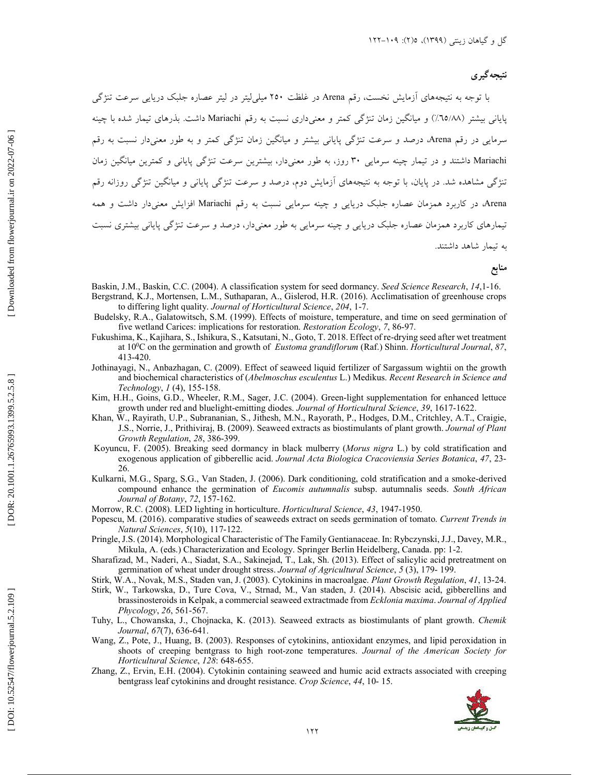## نتیجه گیر ی

با توجه به نتیجههای أزمایش نخست، رقم Arena در غلظت ۲۵۰ میلی[یتر در لیتر عصاره جلبک دریایی سرعت تنژگی پایانی بیشتر (٦٥/٨٨٪) و میانگین زمان تنژگی کمتر و معنیداری نسبت به رقم Mariachi داشت. بذرهای تیمار شده با چینه سرمایی در رقم Arena، درصد و سرعت تنژگی پایانی بیشتر و میانگین زمان تنژگی کمتر و به طور معنیدار نسبت به رقم Mariachi داشتند و در تیمار چینه سرمایی ۳۰ روز، به طور معنیدار، بیشترین سرعت تنژگی پایانی و کمترین میانگین زمان تنژگی مشاهده شد. در پایان، با توجه به نتیجههای ازمایش دوم، درصد و سرعت تنژگی پایانی و میانگین تنژگی روزانه رقم Arena، در کاربرد همزمان عصاره جلبک دریایی و چینه سرمایی نسبت به رقم Mariachi افزایش معنیدار داشت و همه تیمارهای کاربرد همزمان عصاره جلبک دریایی و چینه سرمایی به طور معنیدار، درصد و سرعت تنژگی پایانی بیشتری نسبت به تیمار شاهد داشتند.

منابع

- Baskin, J.M., Baskin, C.C. (2004). A classification system for seed dormancy. *Seed Science Research*, *14*,1-16. Bergstrand, K.J., Mortensen, L.M., Suthaparan, A., Gislerod, H.R. (2016). Acclimatisation of greenhouse crops to differing light quality. *Journal of Horticultural Science* , *204*, 1-7.
	- Budelsky, R.A., Galatowitsch, S.M. (1999). Effects of moisture, temperature, and time on seed germination of five wetland Carices: implications for restoration. *Restoration Ecology* , *7* , 86-97.
	- Fukushima, K., Kajihara, S., Ishikura, S., Katsutani, N., Goto, T. 2018. Effect of re-drying seed after wet treatment at 10 <sup>0</sup>C on the germination and growth of *Eustoma grandiflorum* (Raf.) Shinn. *Horticultural Journal*, *87*, 413-420.
	- Jothinayagi, N., Anbazhagan, C. (2009). Effect of seaweed liquid fertilizer of Sargassum wightii on the growth and biochemical characteristics of (*Abelmoschus esculentus* L.) Medikus. *Recent Research in Science and Technology*, *1* (4), 155-158.
- Kim, H.H., Goins, G.D., Wheeler, R.M., Sager, J.C. (2004). Green-light supplementation for enhanced lettuce growth under red and bluelight-emitting diodes. *Journal of Horticultural Science*, *39*, 1617-1622.
- Khan, W., Rayirath, U.P., Subrananian, S., Jithesh, M.N., Rayorath, P., Hodges, D.M., Critchley, A.T., Craigie, J.S., Norrie, J., Prithiviraj, B. (2009). Seaweed extracts as biostimulants of plant growth. *Journal of Plant Growth Regulation*, *28*, 386-399.
- Koyuncu, F. (2005). Breaking seed dormancy in black mulberry (*Morus nigra* L.) by cold stratification and exogenous application of gibberellic acid. *Journal Acta Biologica Cracoviensia Series Botanica* , *47*, 23- 26.
- Kulkarni, M.G., Sparg, S.G., Van Staden, J. (2006). Dark conditioning, cold stratification and a smoke-derived compound enhance the germination of *Eucomis autumnalis* subsp. autumnalis seeds. *South African Journal of Botany*, *72*, 157-162.
- Morrow, R.C. (2008). LED lighting in horticulture. *Horticultural Science*, *43*, 1947-1950.
- Popescu, M. (2016). comparative studies of seaweeds extract on seeds germination of tomato. *Current Trends in Natural Sciences*, *5*(10), 117-122.
- Pringle, J.S. (2014). Morphological Characteristic of The Family Gentianaceae. In: Rybczynski, J.J., Davey, M.R., Mikula, A. (eds.) Characterization and Ecology. Springer Berlin Heidelberg, Canada. pp: 1-2.
- Sharafizad, M., Naderi, A., Siadat, S.A., Sakinejad, T., Lak, Sh. (2013). Effect of salicylic acid pretreatment on germination of wheat under drought stress. *Journal of Agricultural Science*, *5* (3), 179- 199.
- Stirk, W.A., Novak, M.S., Staden van, J. (2003). Cytokinins in macroalgae. *Plant Growth Regulation* , *41*, 13-24.
- Stirk, W., Tarkowska, D., Ture Cova, V., Strnad, M., Van staden, J. (2014). Abscisic acid, gibberellins and brassinosteroids in Kelpak, a commercial seaweed extractmade from *Ecklonia maxima*. *Journal of Applied Phycology*, *26*, 561-567.
- Tuhy, L., Chowanska, J., Chojnacka, K. (2013). Seaweed extracts as biostimulants of plant growth. *Chemik Journal* , *67*(7), 636-641.
- Wang, Z., Pote, J., Huang, B. (2003). Responses of cytokinins, antioxidant enzymes, and lipid peroxidation in shoots of creeping bentgrass to high root-zone temperatures. *Journal of the American Society for Horticultural Science*, *128*: 648-655.
- Zhang, Z., Ervin, E.H. (2004). Cytokinin containing seaweed and humic acid extracts associated with creeping bentgrass leaf cytokinins and drought resistance. *Crop Science*, *44*, 10- 15.